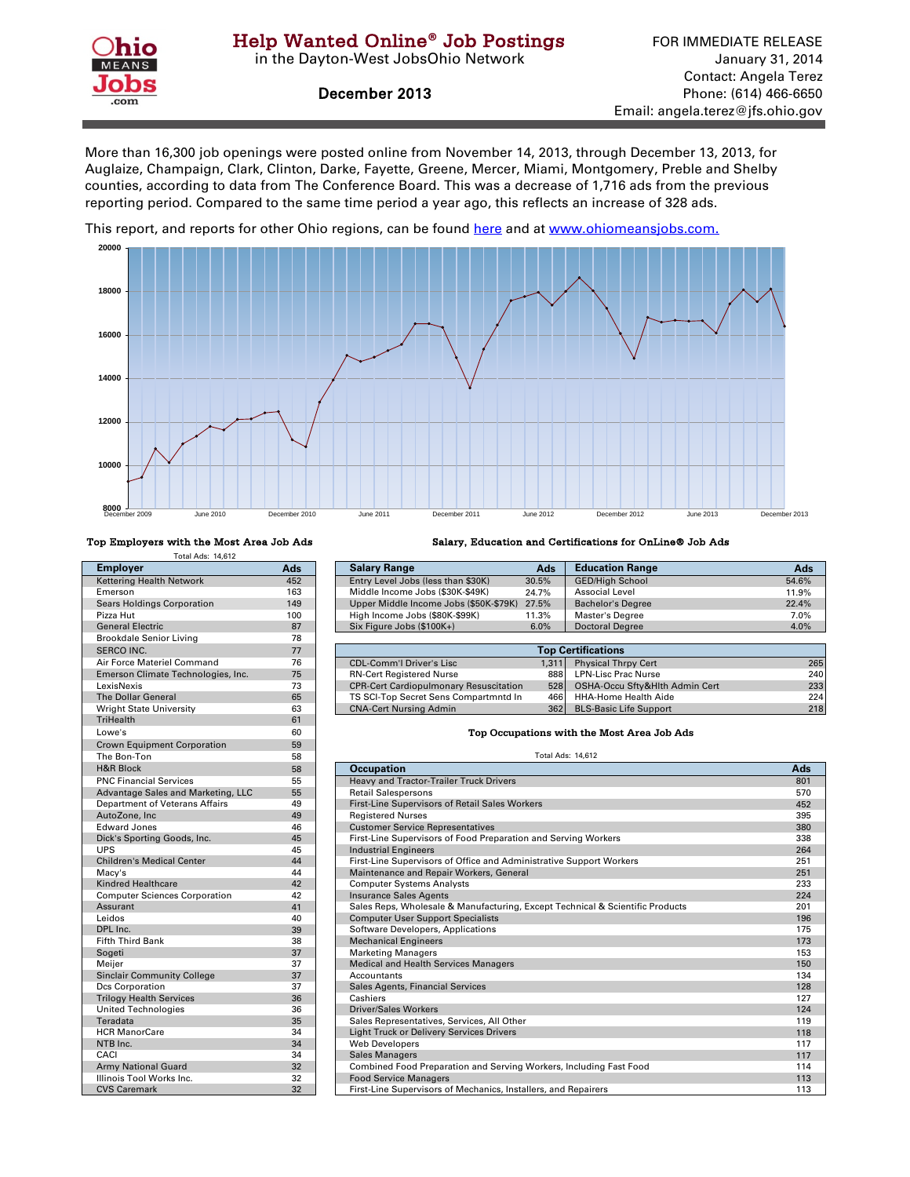

in the Dayton-West JobsOhio Network

December 2013

More than 16,300 job openings were posted online from November 14, 2013, through December 13, 2013, for Auglaize, Champaign, Clark, Clinton, Darke, Fayette, Greene, Mercer, Miami, Montgomery, Preble and Shelby counties, according to data from The Conference Board. This was a decrease of 1,716 ads from the previous reporting period. Compared to the same time period a year ago, this reflects an increase of 328 ads.

[This report, and reports for other Ohio regions, can be found here and at w](http://ohiolmi.com/asp/omj/hw.htm)ww.ohiomeansjobs.com.



## Total Ads: 14,612

| <b>Employer</b>                      | Ads | <b>Salary Range</b>                                        | Ads                      | Educ         |
|--------------------------------------|-----|------------------------------------------------------------|--------------------------|--------------|
| <b>Kettering Health Network</b>      | 452 | Entry Level Jobs (less than \$30K)                         | 30.5%                    | GED/         |
| Emerson                              | 163 | Middle Income Jobs (\$30K-\$49K)                           | 24.7%                    | Asso         |
| <b>Sears Holdings Corporation</b>    | 149 | Upper Middle Income Jobs (\$50K-\$79K)                     | 27.5%                    | <b>Bach</b>  |
| Pizza Hut                            | 100 | High Income Jobs (\$80K-\$99K)                             | 11.3%                    | Mast         |
| <b>General Electric</b>              | 87  | Six Figure Jobs (\$100K+)                                  | 6.0%                     | Docto        |
| <b>Brookdale Senior Living</b>       | 78  |                                                            |                          |              |
| <b>SERCO INC.</b>                    | 77  |                                                            | <b>Top Certifica</b>     |              |
| Air Force Materiel Command           | 76  | <b>CDL-Comm'l Driver's Lisc</b>                            | 1.311                    | Physi        |
| Emerson Climate Technologies, Inc.   | 75  | <b>RN-Cert Registered Nurse</b>                            | 888                      | LPN-I        |
| LexisNexis                           | 73  | <b>CPR-Cert Cardiopulmonary Resuscitation</b>              | 528                      | OSH/         |
| <b>The Dollar General</b>            | 65  | TS SCI-Top Secret Sens Compartmntd In                      | 466                      | HHA-         |
| <b>Wright State University</b>       | 63  | <b>CNA-Cert Nursing Admin</b>                              | 362                      | <b>BLS-I</b> |
| <b>TriHealth</b>                     | 61  |                                                            |                          |              |
| Lowe's                               | 60  | Top Occupations with the                                   |                          |              |
| <b>Crown Equipment Corporation</b>   | 59  |                                                            |                          |              |
| The Bon-Ton                          | 58  |                                                            | <b>Total Ads: 14,612</b> |              |
| <b>H&amp;R Block</b>                 | 58  | <b>Occupation</b>                                          |                          |              |
| <b>PNC Financial Services</b>        | 55  | <b>Heavy and Tractor-Trailer Truck Drivers</b>             |                          |              |
| Advantage Sales and Marketing, LLC   | 55  | <b>Retail Salespersons</b>                                 |                          |              |
| Department of Veterans Affairs       | 49  | First-Line Supervisors of Retail Sales Workers             |                          |              |
| AutoZone, Inc.                       | 49  | <b>Registered Nurses</b>                                   |                          |              |
| <b>Edward Jones</b>                  | 46  | <b>Customer Service Representatives</b>                    |                          |              |
| Dick's Sporting Goods, Inc.          | 45  | First-Line Supervisors of Food Preparation and Serving Wo  |                          |              |
| <b>UPS</b>                           | 45  | <b>Industrial Engineers</b>                                |                          |              |
| <b>Children's Medical Center</b>     | 44  | First-Line Supervisors of Office and Administrative Suppor |                          |              |
| Macy's                               | 44  | Maintenance and Repair Workers, General                    |                          |              |
| <b>Kindred Healthcare</b>            | 42  | <b>Computer Systems Analysts</b>                           |                          |              |
| <b>Computer Sciences Corporation</b> | 42  | <b>Insurance Sales Agents</b>                              |                          |              |
| Assurant                             | 41  | Sales Reps, Wholesale & Manufacturing, Except Technical    |                          |              |
| Leidos                               | 40  | <b>Computer User Support Specialists</b>                   |                          |              |
| DPL Inc.                             | 39  | Software Developers, Applications                          |                          |              |
| <b>Fifth Third Bank</b>              | 38  | <b>Mechanical Engineers</b>                                |                          |              |
| Sogeti                               | 37  | <b>Marketing Managers</b>                                  |                          |              |
| Meijer                               | 37  | Medical and Health Services Managers                       |                          |              |
| <b>Sinclair Community College</b>    | 37  | Accountants                                                |                          |              |
| <b>Dcs Corporation</b>               | 37  | Sales Agents, Financial Services                           |                          |              |
| <b>Trilogy Health Services</b>       | 36  | Cashiers                                                   |                          |              |
| <b>United Technologies</b>           | 36  | <b>Driver/Sales Workers</b>                                |                          |              |
| Teradata                             | 35  | Sales Representatives, Services, All Other                 |                          |              |
| <b>HCR ManorCare</b>                 | 34  | <b>Light Truck or Delivery Services Drivers</b>            |                          |              |
| NTB Inc.                             | 34  | <b>Web Developers</b>                                      |                          |              |
| CACI                                 | 34  | <b>Sales Managers</b>                                      |                          |              |
| <b>Army National Guard</b>           | 32  | Combined Food Preparation and Serving Workers, Includir    |                          |              |
| Illinois Tool Works Inc.             | 32  | <b>Food Service Managers</b>                               |                          |              |
|                                      |     |                                                            |                          |              |

## Top Employers with the Most Area Job Ads Salary, Education and Certifications for OnLine® Job Ads

| Total Ads: 14.612          |       |                                        |       |                          |       |
|----------------------------|-------|----------------------------------------|-------|--------------------------|-------|
| <b>Employer</b>            | Ads   | <b>Salary Range</b>                    | Ads   | <b>Education Range</b>   | Ads   |
| Kettering Health Network   | 452   | Entry Level Jobs (less than \$30K)     | 30.5% | <b>GED/High School</b>   | 54.6% |
| Emerson                    | 163   | Middle Income Jobs (\$30K-\$49K)       | 24.7% | Associal Level           | 11.9% |
| Sears Holdings Corporation | 149   | Upper Middle Income Jobs (\$50K-\$79K) | 27.5% | <b>Bachelor's Degree</b> | 22.4% |
| Pizza Hut                  | 100   | High Income Jobs (\$80K-\$99K)         | 11.3% | Master's Degree          | 7.0%  |
| <b>General Electric</b>    | 87    | Six Figure Jobs (\$100K+)              | 6.0%  | <b>Doctoral Degree</b>   | 4.0%  |
| _  _                       | $- -$ |                                        |       |                          |       |

| SERCO INC.                         | 77 | <b>Top Certifications</b>                     |       |                                |     |
|------------------------------------|----|-----------------------------------------------|-------|--------------------------------|-----|
| Air Force Materiel Command         | 76 | <b>CDL-Comm'l Driver's Lisc</b>               | 1.311 | <b>Physical Thrpy Cert</b>     | 265 |
| Emerson Climate Technologies, Inc. | 75 | <b>RN-Cert Registered Nurse</b>               | 8881  | <b>LPN-Lisc Prac Nurse</b>     | 240 |
| LexisNexis                         | 73 | <b>CPR-Cert Cardiopulmonary Resuscitation</b> | 528   | OSHA-Occu Sfty&Hlth Admin Cert | 233 |
| <b>The Dollar General</b>          | 65 | TS SCI-Top Secret Sens Compartmntd In         | 466   | HHA-Home Health Aide           | 224 |
| Wright State University            | 63 | <b>CNA-Cert Nursing Admin</b>                 | 362   | <b>BLS-Basic Life Support</b>  | 218 |

## **Top Occupations with the Most Area Job Ads**

| <b>H&amp;R Block</b>                 | 58 | <b>Occupation</b>                                                             | Ads |
|--------------------------------------|----|-------------------------------------------------------------------------------|-----|
| <b>PNC Financial Services</b>        | 55 | Heavy and Tractor-Trailer Truck Drivers                                       | 801 |
| Advantage Sales and Marketing, LLC   | 55 | <b>Retail Salespersons</b>                                                    | 570 |
| Department of Veterans Affairs       | 49 | First-Line Supervisors of Retail Sales Workers                                | 452 |
| AutoZone, Inc                        | 49 | <b>Registered Nurses</b>                                                      | 395 |
| <b>Edward Jones</b>                  | 46 | <b>Customer Service Representatives</b>                                       | 380 |
| Dick's Sporting Goods, Inc.          | 45 | First-Line Supervisors of Food Preparation and Serving Workers                | 338 |
| <b>UPS</b>                           | 45 | <b>Industrial Engineers</b>                                                   | 264 |
| <b>Children's Medical Center</b>     | 44 | First-Line Supervisors of Office and Administrative Support Workers           | 251 |
| Macy's                               | 44 | Maintenance and Repair Workers, General                                       | 251 |
| <b>Kindred Healthcare</b>            | 42 | <b>Computer Systems Analysts</b>                                              | 233 |
| <b>Computer Sciences Corporation</b> | 42 | <b>Insurance Sales Agents</b>                                                 | 224 |
| Assurant                             | 41 | Sales Reps, Wholesale & Manufacturing, Except Technical & Scientific Products | 201 |
| Leidos                               | 40 | <b>Computer User Support Specialists</b>                                      | 196 |
| DPL Inc.                             | 39 | Software Developers, Applications                                             | 175 |
| <b>Fifth Third Bank</b>              | 38 | <b>Mechanical Engineers</b>                                                   | 173 |
| Sogeti                               | 37 | <b>Marketing Managers</b>                                                     | 153 |
| Meijer                               | 37 | <b>Medical and Health Services Managers</b>                                   | 150 |
| <b>Sinclair Community College</b>    | 37 | Accountants                                                                   | 134 |
| Dcs Corporation                      | 37 | Sales Agents, Financial Services                                              | 128 |
| <b>Trilogy Health Services</b>       | 36 | Cashiers                                                                      | 127 |
| <b>United Technologies</b>           | 36 | <b>Driver/Sales Workers</b>                                                   | 124 |
| Teradata                             | 35 | Sales Representatives, Services, All Other                                    | 119 |
| <b>HCR ManorCare</b>                 | 34 | <b>Light Truck or Delivery Services Drivers</b>                               | 118 |
| NTB Inc.                             | 34 | <b>Web Developers</b>                                                         | 117 |
| CACI                                 | 34 | <b>Sales Managers</b>                                                         | 117 |
| <b>Army National Guard</b>           | 32 | Combined Food Preparation and Serving Workers, Including Fast Food            | 114 |
| Illinois Tool Works Inc.             | 32 | <b>Food Service Managers</b>                                                  | 113 |
| <b>CVS Caremark</b>                  | 32 | First-Line Supervisors of Mechanics, Installers, and Repairers                | 113 |